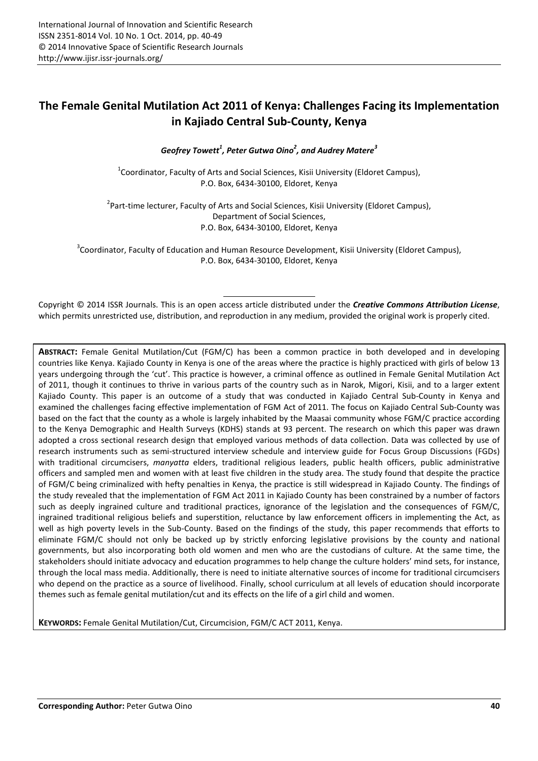# **The Female Genital Mutilation Act 2011 of Kenya: Challenges Facing its Implementation in Kajiado Central Sub-County, Kenya**

*Geofrey Towett<sup>1</sup> , Peter Gutwa Oino<sup>2</sup> , and Audrey Matere<sup>3</sup>*

 $^1$ Coordinator, Faculty of Arts and Social Sciences, Kisii University (Eldoret Campus), P.O. Box, 6434-30100, Eldoret, Kenya

<sup>2</sup> Part-time lecturer, Faculty of Arts and Social Sciences, Kisii University (Eldoret Campus), Department of Social Sciences, P.O. Box, 6434-30100, Eldoret, Kenya

<sup>3</sup>Coordinator, Faculty of Education and Human Resource Development, Kisii University (Eldoret Campus), P.O. Box, 6434-30100, Eldoret, Kenya

Copyright © 2014 ISSR Journals. This is an open access article distributed under the *Creative Commons Attribution License*, which permits unrestricted use, distribution, and reproduction in any medium, provided the original work is properly cited.

**ABSTRACT:** Female Genital Mutilation/Cut (FGM/C) has been a common practice in both developed and in developing countries like Kenya. Kajiado County in Kenya is one of the areas where the practice is highly practiced with girls of below 13 years undergoing through the 'cut'. This practice is however, a criminal offence as outlined in Female Genital Mutilation Act of 2011, though it continues to thrive in various parts of the country such as in Narok, Migori, Kisii, and to a larger extent Kajiado County. This paper is an outcome of a study that was conducted in Kajiado Central Sub-County in Kenya and examined the challenges facing effective implementation of FGM Act of 2011. The focus on Kajiado Central Sub-County was based on the fact that the county as a whole is largely inhabited by the Maasai community whose FGM/C practice according to the Kenya Demographic and Health Surveys (KDHS) stands at 93 percent. The research on which this paper was drawn adopted a cross sectional research design that employed various methods of data collection. Data was collected by use of research instruments such as semi-structured interview schedule and interview guide for Focus Group Discussions (FGDs) with traditional circumcisers, *manyatta* elders, traditional religious leaders, public health officers, public administrative officers and sampled men and women with at least five children in the study area. The study found that despite the practice of FGM/C being criminalized with hefty penalties in Kenya, the practice is still widespread in Kajiado County. The findings of the study revealed that the implementation of FGM Act 2011 in Kajiado County has been constrained by a number of factors such as deeply ingrained culture and traditional practices, ignorance of the legislation and the consequences of FGM/C, ingrained traditional religious beliefs and superstition, reluctance by law enforcement officers in implementing the Act, as well as high poverty levels in the Sub-County. Based on the findings of the study, this paper recommends that efforts to eliminate FGM/C should not only be backed up by strictly enforcing legislative provisions by the county and national governments, but also incorporating both old women and men who are the custodians of culture. At the same time, the stakeholders should initiate advocacy and education programmes to help change the culture holders' mind sets, for instance, through the local mass media. Additionally, there is need to initiate alternative sources of income for traditional circumcisers who depend on the practice as a source of livelihood. Finally, school curriculum at all levels of education should incorporate themes such as female genital mutilation/cut and its effects on the life of a girl child and women.

**KEYWORDS:** Female Genital Mutilation/Cut, Circumcision, FGM/C ACT 2011, Kenya.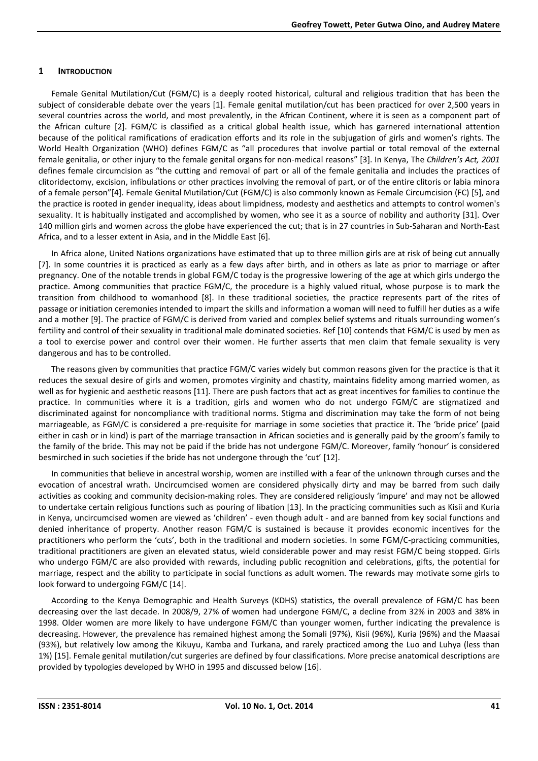#### **1 INTRODUCTION**

Female Genital Mutilation/Cut (FGM/C) is a deeply rooted historical, cultural and religious tradition that has been the subject of considerable debate over the years [1]. Female genital mutilation/cut has been practiced for over 2,500 years in several countries across the world, and most prevalently, in the African Continent, where it is seen as a component part of the African culture [2]. FGM/C is classified as a critical global health issue, which has garnered international attention because of the political ramifications of eradication efforts and its role in the subjugation of girls and women's rights. The World Health Organization (WHO) defines FGM/C as "all procedures that involve partial or total removal of the external female genitalia, or other injury to the female genital organs for non-medical reasons" [3]. In Kenya, The *Children's Act, 2001*  defines female circumcision as "the cutting and removal of part or all of the female genitalia and includes the practices of clitoridectomy, excision, infibulations or other practices involving the removal of part, or of the entire clitoris or labia minora of a female person"[4]. Female Genital Mutilation/Cut (FGM/C) is also commonly known as Female Circumcision (FC) [5], and the practice is rooted in gender inequality, ideas about limpidness, modesty and aesthetics and attempts to control women's sexuality. It is habitually instigated and accomplished by women, who see it as a source of nobility and authority [31]. Over 140 million girls and women across the globe have experienced the cut; that is in 27 countries in Sub-Saharan and North-East Africa, and to a lesser extent in Asia, and in the Middle East [6].

In Africa alone, United Nations organizations have estimated that up to three million girls are at risk of being cut annually [7]. In some countries it is practiced as early as a few days after birth, and in others as late as prior to marriage or after pregnancy. One of the notable trends in global FGM/C today is the progressive lowering of the age at which girls undergo the practice. Among communities that practice FGM/C, the procedure is a highly valued ritual, whose purpose is to mark the transition from childhood to womanhood [8]. In these traditional societies, the practice represents part of the rites of passage or initiation ceremonies intended to impart the skills and information a woman will need to fulfill her duties as a wife and a mother [9]. The practice of FGM/C is derived from varied and complex belief systems and rituals surrounding women's fertility and control of their sexuality in traditional male dominated societies. Ref [10] contends that FGM/C is used by men as a tool to exercise power and control over their women. He further asserts that men claim that female sexuality is very dangerous and has to be controlled.

The reasons given by communities that practice FGM/C varies widely but common reasons given for the practice is that it reduces the sexual desire of girls and women, promotes virginity and chastity, maintains fidelity among married women, as well as for hygienic and aesthetic reasons [11]. There are push factors that act as great incentives for families to continue the practice. In communities where it is a tradition, girls and women who do not undergo FGM/C are stigmatized and discriminated against for noncompliance with traditional norms. Stigma and discrimination may take the form of not being marriageable, as FGM/C is considered a pre-requisite for marriage in some societies that practice it. The 'bride price' (paid either in cash or in kind) is part of the marriage transaction in African societies and is generally paid by the groom's family to the family of the bride. This may not be paid if the bride has not undergone FGM/C. Moreover, family 'honour' is considered besmirched in such societies if the bride has not undergone through the 'cut' [12].

In communities that believe in ancestral worship, women are instilled with a fear of the unknown through curses and the evocation of ancestral wrath. Uncircumcised women are considered physically dirty and may be barred from such daily activities as cooking and community decision-making roles. They are considered religiously 'impure' and may not be allowed to undertake certain religious functions such as pouring of libation [13]. In the practicing communities such as Kisii and Kuria in Kenya, uncircumcised women are viewed as 'children' - even though adult - and are banned from key social functions and denied inheritance of property. Another reason FGM/C is sustained is because it provides economic incentives for the practitioners who perform the 'cuts', both in the traditional and modern societies. In some FGM/C-practicing communities, traditional practitioners are given an elevated status, wield considerable power and may resist FGM/C being stopped. Girls who undergo FGM/C are also provided with rewards, including public recognition and celebrations, gifts, the potential for marriage, respect and the ability to participate in social functions as adult women. The rewards may motivate some girls to look forward to undergoing FGM/C [14].

According to the Kenya Demographic and Health Surveys (KDHS) statistics, the overall prevalence of FGM/C has been decreasing over the last decade. In 2008/9, 27% of women had undergone FGM/C, a decline from 32% in 2003 and 38% in 1998. Older women are more likely to have undergone FGM/C than younger women, further indicating the prevalence is decreasing. However, the prevalence has remained highest among the Somali (97%), Kisii (96%), Kuria (96%) and the Maasai (93%), but relatively low among the Kikuyu, Kamba and Turkana, and rarely practiced among the Luo and Luhya (less than 1%) [15]. Female genital mutilation/cut surgeries are defined by four classifications. More precise anatomical descriptions are provided by typologies developed by WHO in 1995 and discussed below [16].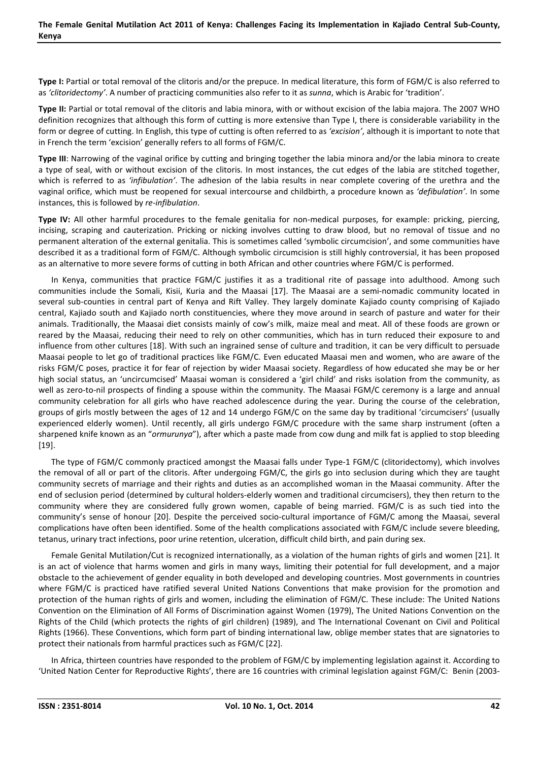**Type I:** Partial or total removal of the clitoris and/or the prepuce. In medical literature, this form of FGM/C is also referred to as *'clitoridectomy'*. A number of practicing communities also refer to it as *sunna*, which is Arabic for 'tradition'.

**Type II:** Partial or total removal of the clitoris and labia minora, with or without excision of the labia majora. The 2007 WHO definition recognizes that although this form of cutting is more extensive than Type I, there is considerable variability in the form or degree of cutting. In English, this type of cutting is often referred to as *'excision'*, although it is important to note that in French the term 'excision' generally refers to all forms of FGM/C.

**Type III**: Narrowing of the vaginal orifice by cutting and bringing together the labia minora and/or the labia minora to create a type of seal, with or without excision of the clitoris. In most instances, the cut edges of the labia are stitched together, which is referred to as *'infibulation'*. The adhesion of the labia results in near complete covering of the urethra and the vaginal orifice, which must be reopened for sexual intercourse and childbirth, a procedure known as *'defibulation'*. In some instances, this is followed by *re-infibulation*.

**Type IV:** All other harmful procedures to the female genitalia for non-medical purposes, for example: pricking, piercing, incising, scraping and cauterization. Pricking or nicking involves cutting to draw blood, but no removal of tissue and no permanent alteration of the external genitalia. This is sometimes called 'symbolic circumcision', and some communities have described it as a traditional form of FGM/C. Although symbolic circumcision is still highly controversial, it has been proposed as an alternative to more severe forms of cutting in both African and other countries where FGM/C is performed.

In Kenya, communities that practice FGM/C justifies it as a traditional rite of passage into adulthood. Among such communities include the Somali, Kisii, Kuria and the Maasai [17]. The Maasai are a semi-nomadic community located in several sub-counties in central part of Kenya and Rift Valley. They largely dominate Kajiado county comprising of Kajiado central, Kajiado south and Kajiado north constituencies, where they move around in search of pasture and water for their animals. Traditionally, the Maasai diet consists mainly of cow's milk, maize meal and meat. All of these foods are grown or reared by the Maasai, reducing their need to rely on other communities, which has in turn reduced their exposure to and influence from other cultures [18]. With such an ingrained sense of culture and tradition, it can be very difficult to persuade Maasai people to let go of traditional practices like FGM/C. Even educated Maasai men and women, who are aware of the risks FGM/C poses, practice it for fear of rejection by wider Maasai society. Regardless of how educated she may be or her high social status, an 'uncircumcised' Maasai woman is considered a 'girl child' and risks isolation from the community, as well as zero-to-nil prospects of finding a spouse within the community. The Maasai FGM/C ceremony is a large and annual community celebration for all girls who have reached adolescence during the year. During the course of the celebration, groups of girls mostly between the ages of 12 and 14 undergo FGM/C on the same day by traditional 'circumcisers' (usually experienced elderly women). Until recently, all girls undergo FGM/C procedure with the same sharp instrument (often a sharpened knife known as an "*ormurunya*"), after which a paste made from cow dung and milk fat is applied to stop bleeding [19].

The type of FGM/C commonly practiced amongst the Maasai falls under Type-1 FGM/C (clitoridectomy), which involves the removal of all or part of the clitoris. After undergoing FGM/C, the girls go into seclusion during which they are taught community secrets of marriage and their rights and duties as an accomplished woman in the Maasai community. After the end of seclusion period (determined by cultural holders-elderly women and traditional circumcisers), they then return to the community where they are considered fully grown women, capable of being married. FGM/C is as such tied into the community's sense of honour [20]. Despite the perceived socio-cultural importance of FGM/C among the Maasai, several complications have often been identified. Some of the health complications associated with FGM/C include severe bleeding, tetanus, urinary tract infections, poor urine retention, ulceration, difficult child birth, and pain during sex.

Female Genital Mutilation/Cut is recognized internationally, as a violation of the human rights of girls and women [21]. It is an act of violence that harms women and girls in many ways, limiting their potential for full development, and a major obstacle to the achievement of gender equality in both developed and developing countries. Most governments in countries where FGM/C is practiced have ratified several United Nations Conventions that make provision for the promotion and protection of the human rights of girls and women, including the elimination of FGM/C. These include: The United Nations Convention on the Elimination of All Forms of Discrimination against Women (1979), The United Nations Convention on the Rights of the Child (which protects the rights of girl children) (1989), and The International Covenant on Civil and Political Rights (1966). These Conventions, which form part of binding international law, oblige member states that are signatories to protect their nationals from harmful practices such as FGM/C [22].

In Africa, thirteen countries have responded to the problem of FGM/C by implementing legislation against it. According to 'United Nation Center for Reproductive Rights', there are 16 countries with criminal legislation against FGM/C: Benin (2003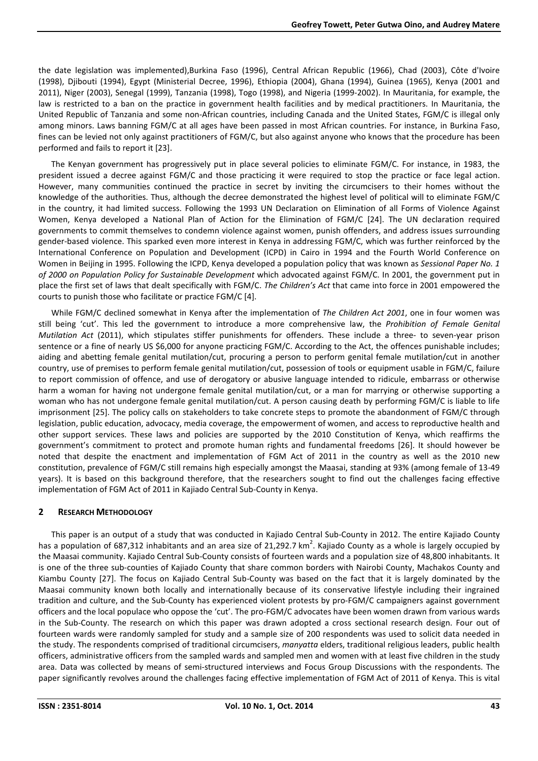the date legislation was implemented),Burkina Faso (1996), Central African Republic (1966), Chad (2003), Côte d'Ivoire (1998), Djibouti (1994), Egypt (Ministerial Decree, 1996), Ethiopia (2004), Ghana (1994), Guinea (1965), Kenya (2001 and 2011), Niger (2003), Senegal (1999), Tanzania (1998), Togo (1998), and Nigeria (1999-2002). In Mauritania, for example, the law is restricted to a ban on the practice in government health facilities and by medical practitioners. In Mauritania, the United Republic of Tanzania and some non-African countries, including Canada and the United States, FGM/C is illegal only among minors. Laws banning FGM/C at all ages have been passed in most African countries. For instance, in Burkina Faso, fines can be levied not only against practitioners of FGM/C, but also against anyone who knows that the procedure has been performed and fails to report it [23].

The Kenyan government has progressively put in place several policies to eliminate FGM/C. For instance, in 1983, the president issued a decree against FGM/C and those practicing it were required to stop the practice or face legal action. However, many communities continued the practice in secret by inviting the circumcisers to their homes without the knowledge of the authorities. Thus, although the decree demonstrated the highest level of political will to eliminate FGM/C in the country, it had limited success. Following the 1993 UN Declaration on Elimination of all Forms of Violence Against Women, Kenya developed a National Plan of Action for the Elimination of FGM/C [24]. The UN declaration required governments to commit themselves to condemn violence against women, punish offenders, and address issues surrounding gender-based violence. This sparked even more interest in Kenya in addressing FGM/C, which was further reinforced by the International Conference on Population and Development (ICPD) in Cairo in 1994 and the Fourth World Conference on Women in Beijing in 1995. Following the ICPD, Kenya developed a population policy that was known as *Sessional Paper No. 1 of 2000 on Population Policy for Sustainable Development* which advocated against FGM/C. In 2001, the government put in place the first set of laws that dealt specifically with FGM/C. *The Children's Act* that came into force in 2001 empowered the courts to punish those who facilitate or practice FGM/C [4].

While FGM/C declined somewhat in Kenya after the implementation of *The Children Act 2001*, one in four women was still being 'cut'. This led the government to introduce a more comprehensive law, the *Prohibition of Female Genital Mutilation Act* (2011), which stipulates stiffer punishments for offenders. These include a three- to seven-year prison sentence or a fine of nearly US \$6,000 for anyone practicing FGM/C. According to the Act, the offences punishable includes; aiding and abetting female genital mutilation/cut, procuring a person to perform genital female mutilation/cut in another country, use of premises to perform female genital mutilation/cut, possession of tools or equipment usable in FGM/C, failure to report commission of offence, and use of derogatory or abusive language intended to ridicule, embarrass or otherwise harm a woman for having not undergone female genital mutilation/cut, or a man for marrying or otherwise supporting a woman who has not undergone female genital mutilation/cut. A person causing death by performing FGM/C is liable to life imprisonment [25]. The policy calls on stakeholders to take concrete steps to promote the abandonment of FGM/C through legislation, public education, advocacy, media coverage, the empowerment of women, and access to reproductive health and other support services. These laws and policies are supported by the 2010 Constitution of Kenya, which reaffirms the government's commitment to protect and promote human rights and fundamental freedoms [26]. It should however be noted that despite the enactment and implementation of FGM Act of 2011 in the country as well as the 2010 new constitution, prevalence of FGM/C still remains high especially amongst the Maasai, standing at 93% (among female of 13-49 years). It is based on this background therefore, that the researchers sought to find out the challenges facing effective implementation of FGM Act of 2011 in Kajiado Central Sub-County in Kenya.

# **2 RESEARCH METHODOLOGY**

This paper is an output of a study that was conducted in Kajiado Central Sub-County in 2012. The entire Kajiado County has a population of 687,312 inhabitants and an area size of 21,292.7 km<sup>2</sup>. Kajiado County as a whole is largely occupied by the Maasai community. Kajiado Central Sub-County consists of fourteen wards and a population size of 48,800 inhabitants. It is one of the three sub-counties of Kajiado County that share common borders with Nairobi County, Machakos County and Kiambu County [27]. The focus on Kajiado Central Sub-County was based on the fact that it is largely dominated by the Maasai community known both locally and internationally because of its conservative lifestyle including their ingrained tradition and culture, and the Sub-County has experienced violent protests by pro-FGM/C campaigners against government officers and the local populace who oppose the 'cut'. The pro-FGM/C advocates have been women drawn from various wards in the Sub-County. The research on which this paper was drawn adopted a cross sectional research design. Four out of fourteen wards were randomly sampled for study and a sample size of 200 respondents was used to solicit data needed in the study. The respondents comprised of traditional circumcisers, *manyatta* elders, traditional religious leaders, public health officers, administrative officers from the sampled wards and sampled men and women with at least five children in the study area. Data was collected by means of semi-structured interviews and Focus Group Discussions with the respondents. The paper significantly revolves around the challenges facing effective implementation of FGM Act of 2011 of Kenya. This is vital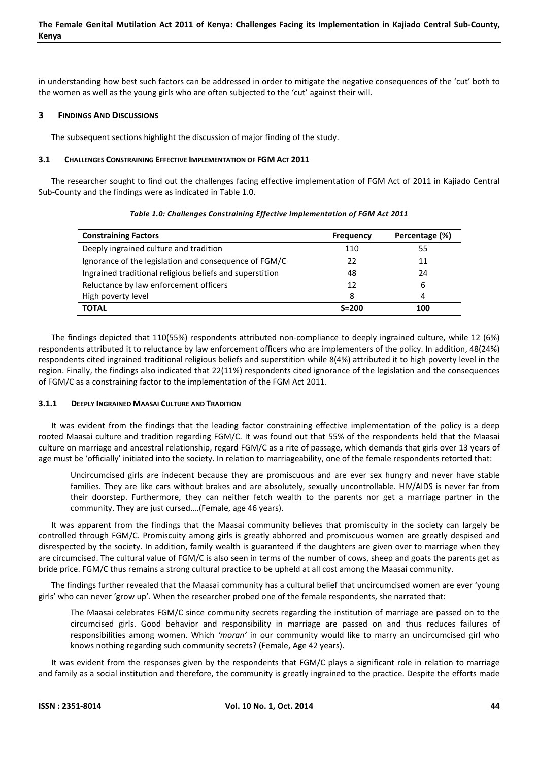in understanding how best such factors can be addressed in order to mitigate the negative consequences of the 'cut' both to the women as well as the young girls who are often subjected to the 'cut' against their will.

## **3 FINDINGS AND DISCUSSIONS**

The subsequent sections highlight the discussion of major finding of the study.

#### **3.1 CHALLENGES CONSTRAINING EFFECTIVE IMPLEMENTATION OF FGM ACT 2011**

The researcher sought to find out the challenges facing effective implementation of FGM Act of 2011 in Kajiado Central Sub-County and the findings were as indicated in Table 1.0.

| <b>Constraining Factors</b>                              | <b>Frequency</b> | Percentage (%) |
|----------------------------------------------------------|------------------|----------------|
| Deeply ingrained culture and tradition                   | 110              | 55             |
| Ignorance of the legislation and consequence of FGM/C    | 22               | 11             |
| Ingrained traditional religious beliefs and superstition | 48               | 24             |
| Reluctance by law enforcement officers                   | 12               | 6              |
| High poverty level                                       | 8                | 4              |
| <b>TOTAL</b>                                             | $S = 200$        | 100            |

| Table 1.0: Challenges Constraining Effective Implementation of FGM Act 2011 |
|-----------------------------------------------------------------------------|
|                                                                             |

The findings depicted that 110(55%) respondents attributed non-compliance to deeply ingrained culture, while 12 (6%) respondents attributed it to reluctance by law enforcement officers who are implementers of the policy. In addition, 48(24%) respondents cited ingrained traditional religious beliefs and superstition while 8(4%) attributed it to high poverty level in the region. Finally, the findings also indicated that 22(11%) respondents cited ignorance of the legislation and the consequences of FGM/C as a constraining factor to the implementation of the FGM Act 2011.

#### **3.1.1 DEEPLY INGRAINED MAASAI CULTURE AND TRADITION**

It was evident from the findings that the leading factor constraining effective implementation of the policy is a deep rooted Maasai culture and tradition regarding FGM/C. It was found out that 55% of the respondents held that the Maasai culture on marriage and ancestral relationship, regard FGM/C as a rite of passage, which demands that girls over 13 years of age must be 'officially' initiated into the society. In relation to marriageability, one of the female respondents retorted that:

Uncircumcised girls are indecent because they are promiscuous and are ever sex hungry and never have stable families. They are like cars without brakes and are absolutely, sexually uncontrollable. HIV/AIDS is never far from their doorstep. Furthermore, they can neither fetch wealth to the parents nor get a marriage partner in the community. They are just cursed….(Female, age 46 years).

It was apparent from the findings that the Maasai community believes that promiscuity in the society can largely be controlled through FGM/C. Promiscuity among girls is greatly abhorred and promiscuous women are greatly despised and disrespected by the society. In addition, family wealth is guaranteed if the daughters are given over to marriage when they are circumcised. The cultural value of FGM/C is also seen in terms of the number of cows, sheep and goats the parents get as bride price. FGM/C thus remains a strong cultural practice to be upheld at all cost among the Maasai community.

The findings further revealed that the Maasai community has a cultural belief that uncircumcised women are ever 'young girls' who can never 'grow up'. When the researcher probed one of the female respondents, she narrated that:

The Maasai celebrates FGM/C since community secrets regarding the institution of marriage are passed on to the circumcised girls. Good behavior and responsibility in marriage are passed on and thus reduces failures of responsibilities among women. Which *'moran'* in our community would like to marry an uncircumcised girl who knows nothing regarding such community secrets? (Female, Age 42 years).

It was evident from the responses given by the respondents that FGM/C plays a significant role in relation to marriage and family as a social institution and therefore, the community is greatly ingrained to the practice. Despite the efforts made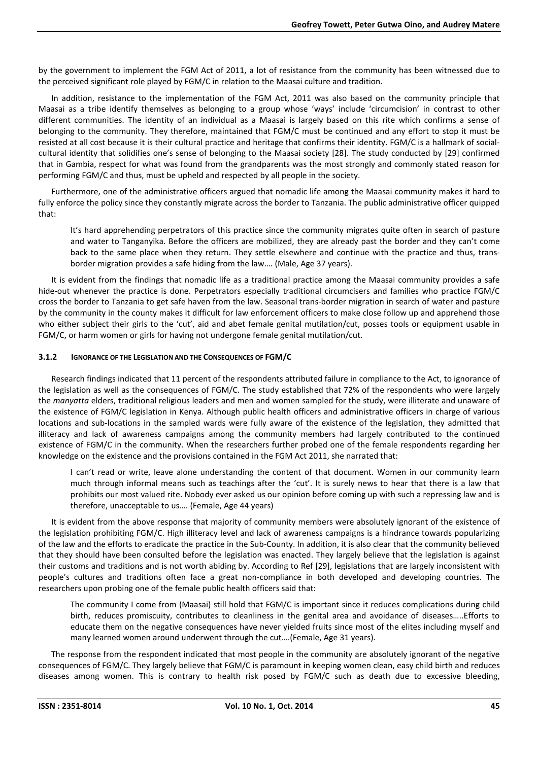by the government to implement the FGM Act of 2011, a lot of resistance from the community has been witnessed due to the perceived significant role played by FGM/C in relation to the Maasai culture and tradition.

In addition, resistance to the implementation of the FGM Act, 2011 was also based on the community principle that Maasai as a tribe identify themselves as belonging to a group whose 'ways' include 'circumcision' in contrast to other different communities. The identity of an individual as a Maasai is largely based on this rite which confirms a sense of belonging to the community. They therefore, maintained that FGM/C must be continued and any effort to stop it must be resisted at all cost because it is their cultural practice and heritage that confirms their identity. FGM/C is a hallmark of socialcultural identity that solidifies one's sense of belonging to the Maasai society [28]. The study conducted by [29] confirmed that in Gambia, respect for what was found from the grandparents was the most strongly and commonly stated reason for performing FGM/C and thus, must be upheld and respected by all people in the society.

Furthermore, one of the administrative officers argued that nomadic life among the Maasai community makes it hard to fully enforce the policy since they constantly migrate across the border to Tanzania. The public administrative officer quipped that:

It's hard apprehending perpetrators of this practice since the community migrates quite often in search of pasture and water to Tanganyika. Before the officers are mobilized, they are already past the border and they can't come back to the same place when they return. They settle elsewhere and continue with the practice and thus, transborder migration provides a safe hiding from the law…. (Male, Age 37 years).

It is evident from the findings that nomadic life as a traditional practice among the Maasai community provides a safe hide-out whenever the practice is done. Perpetrators especially traditional circumcisers and families who practice FGM/C cross the border to Tanzania to get safe haven from the law. Seasonal trans-border migration in search of water and pasture by the community in the county makes it difficult for law enforcement officers to make close follow up and apprehend those who either subject their girls to the 'cut', aid and abet female genital mutilation/cut, posses tools or equipment usable in FGM/C, or harm women or girls for having not undergone female genital mutilation/cut.

#### **3.1.2 IGNORANCE OF THE LEGISLATION AND THE CONSEQUENCES OF FGM/C**

Research findings indicated that 11 percent of the respondents attributed failure in compliance to the Act, to ignorance of the legislation as well as the consequences of FGM/C. The study established that 72% of the respondents who were largely the *manyatta* elders, traditional religious leaders and men and women sampled for the study, were illiterate and unaware of the existence of FGM/C legislation in Kenya. Although public health officers and administrative officers in charge of various locations and sub-locations in the sampled wards were fully aware of the existence of the legislation, they admitted that illiteracy and lack of awareness campaigns among the community members had largely contributed to the continued existence of FGM/C in the community. When the researchers further probed one of the female respondents regarding her knowledge on the existence and the provisions contained in the FGM Act 2011, she narrated that:

I can't read or write, leave alone understanding the content of that document. Women in our community learn much through informal means such as teachings after the 'cut'. It is surely news to hear that there is a law that prohibits our most valued rite. Nobody ever asked us our opinion before coming up with such a repressing law and is therefore, unacceptable to us…. (Female, Age 44 years)

It is evident from the above response that majority of community members were absolutely ignorant of the existence of the legislation prohibiting FGM/C. High illiteracy level and lack of awareness campaigns is a hindrance towards popularizing of the law and the efforts to eradicate the practice in the Sub-County. In addition, it is also clear that the community believed that they should have been consulted before the legislation was enacted. They largely believe that the legislation is against their customs and traditions and is not worth abiding by. According to Ref [29], legislations that are largely inconsistent with people's cultures and traditions often face a great non-compliance in both developed and developing countries. The researchers upon probing one of the female public health officers said that:

The community I come from (Maasai) still hold that FGM/C is important since it reduces complications during child birth, reduces promiscuity, contributes to cleanliness in the genital area and avoidance of diseases…..Efforts to educate them on the negative consequences have never yielded fruits since most of the elites including myself and many learned women around underwent through the cut….(Female, Age 31 years).

The response from the respondent indicated that most people in the community are absolutely ignorant of the negative consequences of FGM/C. They largely believe that FGM/C is paramount in keeping women clean, easy child birth and reduces diseases among women. This is contrary to health risk posed by FGM/C such as death due to excessive bleeding,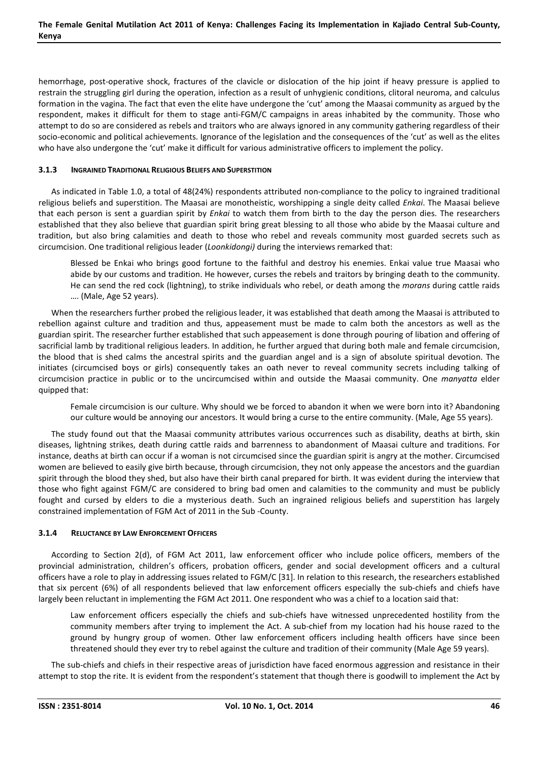hemorrhage, post-operative shock, fractures of the clavicle or dislocation of the hip joint if heavy pressure is applied to restrain the struggling girl during the operation, infection as a result of unhygienic conditions, clitoral neuroma, and calculus formation in the vagina. The fact that even the elite have undergone the 'cut' among the Maasai community as argued by the respondent, makes it difficult for them to stage anti-FGM/C campaigns in areas inhabited by the community. Those who attempt to do so are considered as rebels and traitors who are always ignored in any community gathering regardless of their socio-economic and political achievements. Ignorance of the legislation and the consequences of the 'cut' as well as the elites who have also undergone the 'cut' make it difficult for various administrative officers to implement the policy.

## **3.1.3 INGRAINED TRADITIONAL RELIGIOUS BELIEFS AND SUPERSTITION**

As indicated in Table 1.0, a total of 48(24%) respondents attributed non-compliance to the policy to ingrained traditional religious beliefs and superstition. The Maasai are monotheistic, worshipping a single deity called *Enkai*. The Maasai believe that each person is sent a guardian spirit by *Enkai* to watch them from birth to the day the person dies. The researchers established that they also believe that guardian spirit bring great blessing to all those who abide by the Maasai culture and tradition, but also bring calamities and death to those who rebel and reveals community most guarded secrets such as circumcision. One traditional religious leader (*Loonkidongi)* during the interviews remarked that:

Blessed be Enkai who brings good fortune to the faithful and destroy his enemies. Enkai value true Maasai who abide by our customs and tradition. He however, curses the rebels and traitors by bringing death to the community. He can send the red cock (lightning), to strike individuals who rebel, or death among the *morans* during cattle raids …. (Male, Age 52 years).

When the researchers further probed the religious leader, it was established that death among the Maasai is attributed to rebellion against culture and tradition and thus, appeasement must be made to calm both the ancestors as well as the guardian spirit. The researcher further established that such appeasement is done through pouring of libation and offering of sacrificial lamb by traditional religious leaders. In addition, he further argued that during both male and female circumcision, the blood that is shed calms the ancestral spirits and the guardian angel and is a sign of absolute spiritual devotion. The initiates (circumcised boys or girls) consequently takes an oath never to reveal community secrets including talking of circumcision practice in public or to the uncircumcised within and outside the Maasai community. One *manyatta* elder quipped that:

Female circumcision is our culture. Why should we be forced to abandon it when we were born into it? Abandoning our culture would be annoying our ancestors. It would bring a curse to the entire community. (Male, Age 55 years).

The study found out that the Maasai community attributes various occurrences such as disability, deaths at birth, skin diseases, lightning strikes, death during cattle raids and barrenness to abandonment of Maasai culture and traditions. For instance, deaths at birth can occur if a woman is not circumcised since the guardian spirit is angry at the mother. Circumcised women are believed to easily give birth because, through circumcision, they not only appease the ancestors and the guardian spirit through the blood they shed, but also have their birth canal prepared for birth. It was evident during the interview that those who fight against FGM/C are considered to bring bad omen and calamities to the community and must be publicly fought and cursed by elders to die a mysterious death. Such an ingrained religious beliefs and superstition has largely constrained implementation of FGM Act of 2011 in the Sub -County.

#### **3.1.4 RELUCTANCE BY LAW ENFORCEMENT OFFICERS**

According to Section 2(d), of FGM Act 2011, law enforcement officer who include police officers, members of the provincial administration, children's officers, probation officers, gender and social development officers and a cultural officers have a role to play in addressing issues related to FGM/C [31]. In relation to this research, the researchers established that six percent (6%) of all respondents believed that law enforcement officers especially the sub-chiefs and chiefs have largely been reluctant in implementing the FGM Act 2011. One respondent who was a chief to a location said that:

Law enforcement officers especially the chiefs and sub-chiefs have witnessed unprecedented hostility from the community members after trying to implement the Act. A sub-chief from my location had his house razed to the ground by hungry group of women. Other law enforcement officers including health officers have since been threatened should they ever try to rebel against the culture and tradition of their community (Male Age 59 years).

The sub-chiefs and chiefs in their respective areas of jurisdiction have faced enormous aggression and resistance in their attempt to stop the rite. It is evident from the respondent's statement that though there is goodwill to implement the Act by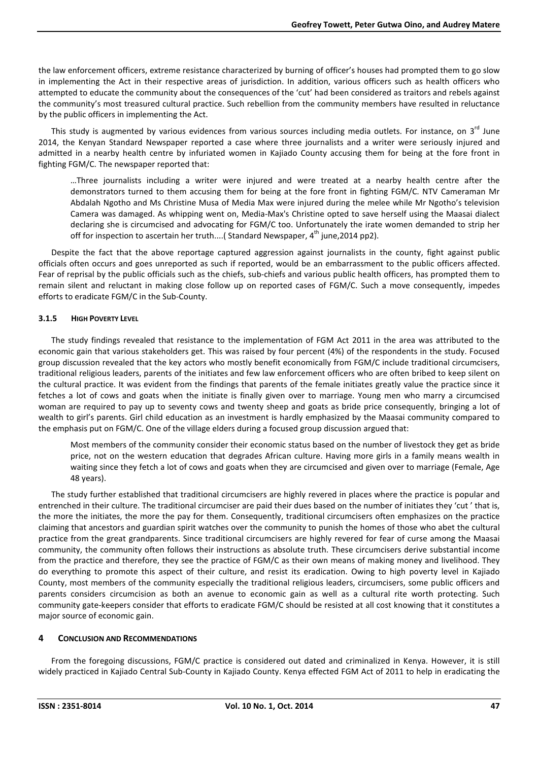the law enforcement officers, extreme resistance characterized by burning of officer's houses had prompted them to go slow in implementing the Act in their respective areas of jurisdiction. In addition, various officers such as health officers who attempted to educate the community about the consequences of the 'cut' had been considered as traitors and rebels against the community's most treasured cultural practice. Such rebellion from the community members have resulted in reluctance by the public officers in implementing the Act.

This study is augmented by various evidences from various sources including media outlets. For instance, on 3<sup>rd</sup> June 2014, the Kenyan Standard Newspaper reported a case where three journalists and a writer were seriously injured and admitted in a nearby health centre by infuriated women in Kajiado County accusing them for being at the fore front in fighting FGM/C. The newspaper reported that:

…Three journalists including a writer were injured and were treated at a nearby health centre after the demonstrators turned to them accusing them for being at the fore front in fighting FGM/C. NTV Cameraman Mr Abdalah Ngotho and Ms Christine Musa of Media Max were injured during the melee while Mr Ngotho's television Camera was damaged. As whipping went on, Media-Max's Christine opted to save herself using the Maasai dialect declaring she is circumcised and advocating for FGM/C too. Unfortunately the irate women demanded to strip her off for inspection to ascertain her truth....( Standard Newspaper,  $4<sup>th</sup>$  june, 2014 pp2).

Despite the fact that the above reportage captured aggression against journalists in the county, fight against public officials often occurs and goes unreported as such if reported, would be an embarrassment to the public officers affected. Fear of reprisal by the public officials such as the chiefs, sub-chiefs and various public health officers, has prompted them to remain silent and reluctant in making close follow up on reported cases of FGM/C. Such a move consequently, impedes efforts to eradicate FGM/C in the Sub-County.

#### **3.1.5 HIGH POVERTY LEVEL**

The study findings revealed that resistance to the implementation of FGM Act 2011 in the area was attributed to the economic gain that various stakeholders get. This was raised by four percent (4%) of the respondents in the study. Focused group discussion revealed that the key actors who mostly benefit economically from FGM/C include traditional circumcisers, traditional religious leaders, parents of the initiates and few law enforcement officers who are often bribed to keep silent on the cultural practice. It was evident from the findings that parents of the female initiates greatly value the practice since it fetches a lot of cows and goats when the initiate is finally given over to marriage. Young men who marry a circumcised woman are required to pay up to seventy cows and twenty sheep and goats as bride price consequently, bringing a lot of wealth to girl's parents. Girl child education as an investment is hardly emphasized by the Maasai community compared to the emphasis put on FGM/C. One of the village elders during a focused group discussion argued that:

Most members of the community consider their economic status based on the number of livestock they get as bride price, not on the western education that degrades African culture. Having more girls in a family means wealth in waiting since they fetch a lot of cows and goats when they are circumcised and given over to marriage (Female, Age 48 years).

The study further established that traditional circumcisers are highly revered in places where the practice is popular and entrenched in their culture. The traditional circumciser are paid their dues based on the number of initiates they 'cut ' that is, the more the initiates, the more the pay for them. Consequently, traditional circumcisers often emphasizes on the practice claiming that ancestors and guardian spirit watches over the community to punish the homes of those who abet the cultural practice from the great grandparents. Since traditional circumcisers are highly revered for fear of curse among the Maasai community, the community often follows their instructions as absolute truth. These circumcisers derive substantial income from the practice and therefore, they see the practice of FGM/C as their own means of making money and livelihood. They do everything to promote this aspect of their culture, and resist its eradication. Owing to high poverty level in Kajiado County, most members of the community especially the traditional religious leaders, circumcisers, some public officers and parents considers circumcision as both an avenue to economic gain as well as a cultural rite worth protecting. Such community gate-keepers consider that efforts to eradicate FGM/C should be resisted at all cost knowing that it constitutes a major source of economic gain.

# **4 CONCLUSION AND RECOMMENDATIONS**

From the foregoing discussions, FGM/C practice is considered out dated and criminalized in Kenya. However, it is still widely practiced in Kajiado Central Sub-County in Kajiado County. Kenya effected FGM Act of 2011 to help in eradicating the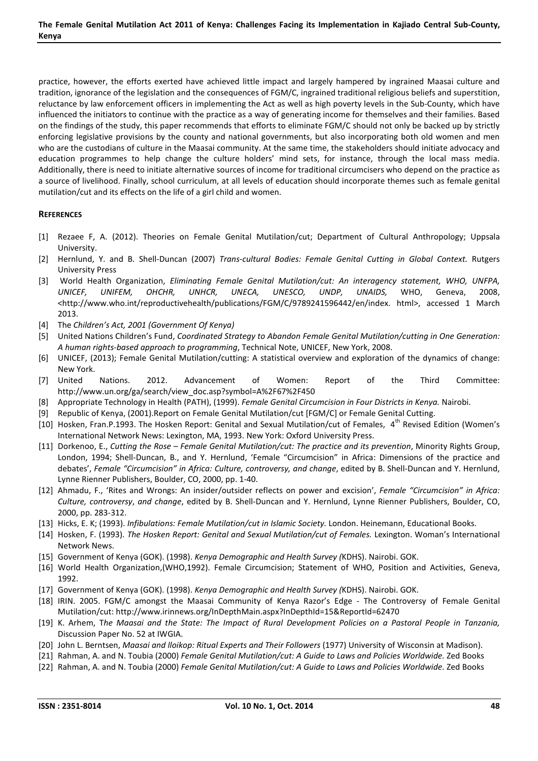practice, however, the efforts exerted have achieved little impact and largely hampered by ingrained Maasai culture and tradition, ignorance of the legislation and the consequences of FGM/C, ingrained traditional religious beliefs and superstition, reluctance by law enforcement officers in implementing the Act as well as high poverty levels in the Sub-County, which have influenced the initiators to continue with the practice as a way of generating income for themselves and their families. Based on the findings of the study, this paper recommends that efforts to eliminate FGM/C should not only be backed up by strictly enforcing legislative provisions by the county and national governments, but also incorporating both old women and men who are the custodians of culture in the Maasai community. At the same time, the stakeholders should initiate advocacy and education programmes to help change the culture holders' mind sets, for instance, through the local mass media. Additionally, there is need to initiate alternative sources of income for traditional circumcisers who depend on the practice as a source of livelihood. Finally, school curriculum, at all levels of education should incorporate themes such as female genital mutilation/cut and its effects on the life of a girl child and women.

## **REFERENCES**

- [1] Rezaee F, A. (2012). Theories on Female Genital Mutilation/cut; Department of Cultural Anthropology; Uppsala University.
- [2] Hernlund, Y. and B. Shell-Duncan (2007) *Trans-cultural Bodies: Female Genital Cutting in Global Context*. Rutgers University Press
- [3] World Health Organization, *Eliminating Female Genital Mutilation/cut: An interagency statement, WHO, UNFPA, UNICEF, UNIFEM, OHCHR, UNHCR, UNECA, UNESCO, UNDP, UNAIDS,* WHO, Geneva, 2008, <http://www.who.int/reproductivehealth/publications/FGM/C/9789241596442/en/index. html>, accessed 1 March 2013.
- [4] The *Children's Act, 2001 (Government Of Kenya)*
- [5] United Nations Children's Fund, *Coordinated Strategy to Abandon Female Genital Mutilation/cutting in One Generation: A human rights-based approach to programming*, Technical Note, UNICEF, New York, 2008.
- [6] UNICEF, (2013); Female Genital Mutilation/cutting: A statistical overview and exploration of the dynamics of change: New York.
- [7] United Nations. 2012. Advancement of Women: Report of the Third Committee: http://www.un.org/ga/search/view\_doc.asp?symbol=A%2F67%2F450
- [8] Appropriate Technology in Health (PATH), (1999). *Female Genital Circumcision in Four Districts in Kenya.* Nairobi.
- [9] Republic of Kenya, (2001).Report on Female Genital Mutilation/cut [FGM/C] or Female Genital Cutting.
- [10] Hosken, Fran.P.1993. The Hosken Report: Genital and Sexual Mutilation/cut of Females, 4<sup>th</sup> Revised Edition (Women's International Network News: Lexington, MA, 1993. New York: Oxford University Press.
- [11] Dorkenoo, E., *Cutting the Rose Female Genital Mutilation/cut: The practice and its prevention*, Minority Rights Group, London, 1994; Shell-Duncan, B., and Y. Hernlund, 'Female "Circumcision" in Africa: Dimensions of the practice and debates', *Female "Circumcision" in Africa: Culture, controversy, and change*, edited by B. Shell-Duncan and Y. Hernlund, Lynne Rienner Publishers, Boulder, CO, 2000, pp. 1-40.
- [12] Ahmadu, F., 'Rites and Wrongs: An insider/outsider reflects on power and excision', *Female "Circumcision" in Africa: Culture, controversy*, *and change*, edited by B. Shell-Duncan and Y. Hernlund, Lynne Rienner Publishers, Boulder, CO, 2000, pp. 283-312.
- [13] Hicks, E. K; (1993). *Infibulations: Female Mutilation/cut in Islamic Society.* London. Heinemann, Educational Books.
- [14] Hosken, F. (1993). *The Hosken Report: Genital and Sexual Mutilation/cut of Females.* Lexington. Woman's International Network News.
- [15] Government of Kenya (GOK). (1998). *Kenya Demographic and Health Survey (*KDHS). Nairobi. GOK.
- [16] World Health Organization,(WHO,1992). Female Circumcision; Statement of WHO, Position and Activities, Geneva, 1992.
- [17] Government of Kenya (GOK). (1998). *Kenya Demographic and Health Survey (*KDHS). Nairobi. GOK.
- [18] IRIN. 2005. FGM/C amongst the Maasai Community of Kenya Razor's Edge The Controversy of Female Genital Mutilation/cut: http://www.irinnews.org/InDepthMain.aspx?InDepthId=15&ReportId=62470
- [19] K. Arhem, T*he Maasai and the State: The Impact of Rural Development Policies on a Pastoral People in Tanzania,*  Discussion Paper No. 52 at IWGIA.
- [20] John L. Berntsen, *Maasai and lloikop: Ritual Experts and Their Followers* (1977) University of Wisconsin at Madison).
- [21] Rahman, A. and N. Toubia (2000) *Female Genital Mutilation/cut: A Guide to Laws and Policies Worldwide. Zed Books*
- [22] Rahman, A. and N. Toubia (2000) *Female Genital Mutilation/cut: A Guide to Laws and Policies Worldwide. Zed Books*